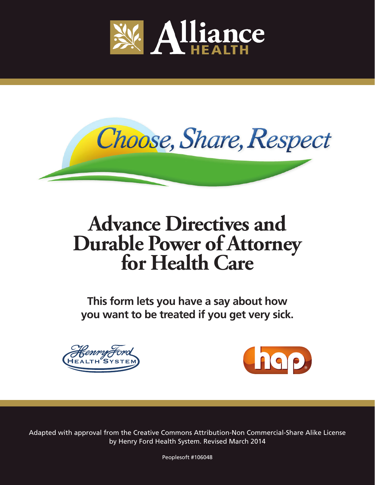



# **Advance Directives and Durable Power of Attorney for Health Care**

**This form lets you have a say about how you want to be treated if you get very sick.**





Adapted with approval from the Creative Commons Attribution-Non Commercial-Share Alike License by Henry Ford Health System. Revised March 2014

Peoplesoft #106048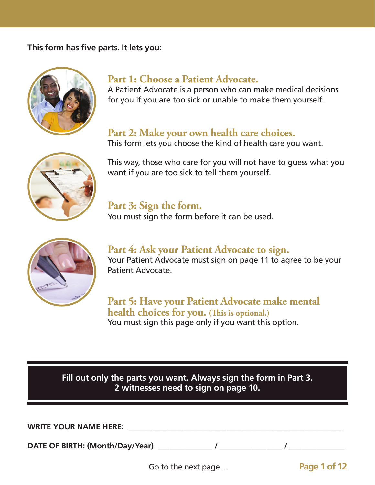#### **This form has five parts. It lets you:**



#### **Part 1: Choose a Patient Advocate.**

A Patient Advocate is a person who can make medical decisions for you if you are too sick or unable to make them yourself.

#### **Part 2: Make your own health care choices.**

This form lets you choose the kind of health care you want.



This way, those who care for you will not have to guess what you want if you are too sick to tell them yourself.

### **Part 3: Sign the form.**

You must sign the form before it can be used.



**Part 4: Ask your Patient Advocate to sign.** Your Patient Advocate must sign on page 11 to agree to be your Patient Advocate.

**Part 5: Have your Patient Advocate make mental health choices for you. (This is optional.)** You must sign this page only if you want this option.

**Fill out only the parts you want. Always sign the form in Part 3. 2 witnesses need to sign on page 10.**

WRITE YOUR NAME HERE:

DATE OF BIRTH: (Month/Day/Year) \_\_\_\_\_\_\_\_\_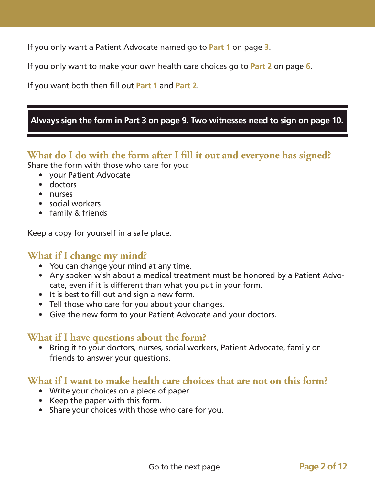If you only want a Patient Advocate named go to **Part 1** on page **3**.

If you only want to make your own health care choices go to **Part 2** on page **6**.

If you want both then fill out **Part 1** and **Part 2**.

#### **Always sign the form in Part 3 on page 9. Two witnesses need to sign on page 10.**

#### **What do I do with the form after I fill it out and everyone has signed?** Share the form with those who care for you:

- your Patient Advocate
- doctors
- nurses
- social workers
- family & friends

Keep a copy for yourself in a safe place.

#### **What if I change my mind?**

- You can change your mind at any time.
- Any spoken wish about a medical treatment must be honored by a Patient Advocate, even if it is different than what you put in your form.
- It is best to fill out and sign a new form.
- Tell those who care for you about your changes.
- Give the new form to your Patient Advocate and your doctors.

### **What if I have questions about the form?**

• Bring it to your doctors, nurses, social workers, Patient Advocate, family or friends to answer your questions.

#### **What if I want to make health care choices that are not on this form?**

- Write your choices on a piece of paper.
- Keep the paper with this form.
- Share your choices with those who care for you.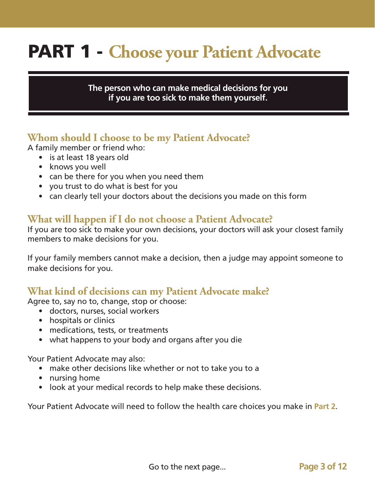# PART 1 - **Choose your Patient Advocate**

#### **The person who can make medical decisions for you if you are too sick to make them yourself.**

### **Whom should I choose to be my Patient Advocate?**

A family member or friend who:

- is at least 18 years old
- knows you well
- can be there for you when you need them
- you trust to do what is best for you
- can clearly tell your doctors about the decisions you made on this form

#### **What will happen if I do not choose a Patient Advocate?**

If you are too sick to make your own decisions, your doctors will ask your closest family members to make decisions for you.

If your family members cannot make a decision, then a judge may appoint someone to make decisions for you.

#### **What kind of decisions can my Patient Advocate make?**

Agree to, say no to, change, stop or choose:

- doctors, nurses, social workers
- hospitals or clinics
- medications, tests, or treatments
- what happens to your body and organs after you die

Your Patient Advocate may also:

- make other decisions like whether or not to take you to a
- nursing home
- look at your medical records to help make these decisions.

Your Patient Advocate will need to follow the health care choices you make in **Part 2**.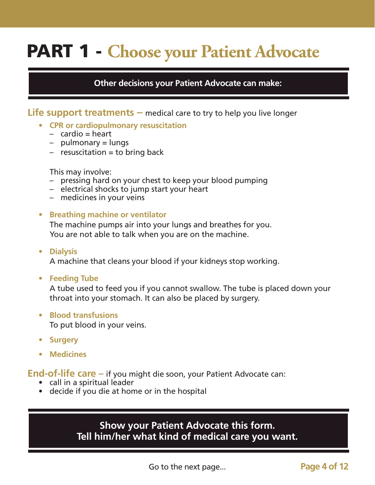# PART 1 - **Choose your Patient Advocate**

#### **Other decisions your Patient Advocate can make:**

**Life support treatments –** medical care to try to help you live longer

- **• CPR or cardiopulmonary resuscitation**
	- $-$  cardio  $=$  heart
	- pulmonary = lungs
	- $-$  resuscitation  $=$  to bring back

This may involve:

- pressing hard on your chest to keep your blood pumping
- electrical shocks to jump start your heart
- medicines in your veins

#### **• Breathing machine or ventilator**

The machine pumps air into your lungs and breathes for you. You are not able to talk when you are on the machine.

**• Dialysis**

A machine that cleans your blood if your kidneys stop working.

**• Feeding Tube**

A tube used to feed you if you cannot swallow. The tube is placed down your throat into your stomach. It can also be placed by surgery.

- **• Blood transfusions** To put blood in your veins.
- **• Surgery**
- **• Medicines**

**End-of-life care –** if you might die soon, your Patient Advocate can:

- call in a spiritual leader
- decide if you die at home or in the hospital

#### **Show your Patient Advocate this form. Tell him/her what kind of medical care you want.**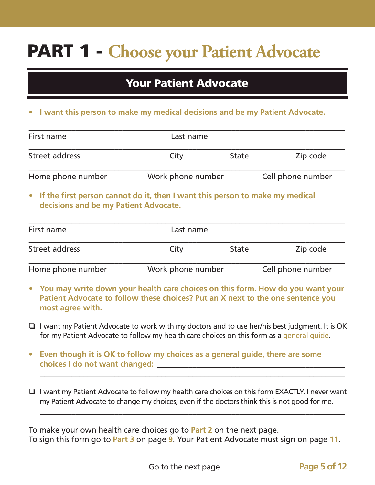# PART 1 - **Choose your Patient Advocate**

### Your Patient Advocate

**• I want this person to make my medical decisions and be my Patient Advocate.**

| First name                                                                     | Last name         |              |                   |
|--------------------------------------------------------------------------------|-------------------|--------------|-------------------|
| Street address                                                                 | City              | <b>State</b> |                   |
| Home phone number                                                              | Work phone number |              | Cell phone number |
| • If the first person cannot do it, then I want this person to make my medical |                   |              |                   |

| First name        | Last name         |              |                   |
|-------------------|-------------------|--------------|-------------------|
| Street address    | City              | <b>State</b> | Zip code          |
| Home phone number | Work phone number |              | Cell phone number |

**decisions and be my Patient Advocate.**

- **• You may write down your health care choices on this form. How do you want your Patient Advocate to follow these choices? Put an X next to the one sentence you most agree with.**
- $\Box$  I want my Patient Advocate to work with my doctors and to use her/his best judgment. It is OK for my Patient Advocate to follow my health care choices on this form as a general quide.
- **• Even though it is OK to follow my choices as a general guide, there are some choices I do not want changed: \_\_\_\_\_\_\_\_\_\_\_\_\_\_\_\_\_\_\_\_\_\_\_\_\_\_\_\_\_\_\_\_\_\_\_\_\_\_\_\_\_\_\_\_\_\_\_\_**
- $\Box$  I want my Patient Advocate to follow my health care choices on this form EXACTLY. I never want my Patient Advocate to change my choices, even if the doctors think this is not good for me.

 $\_$  , and the set of the set of the set of the set of the set of the set of the set of the set of the set of the set of the set of the set of the set of the set of the set of the set of the set of the set of the set of th

**\_\_\_\_\_\_\_\_\_\_\_\_\_\_\_\_\_\_\_\_\_\_\_\_\_\_\_\_\_\_\_\_\_\_\_\_\_\_\_\_\_\_\_\_\_\_\_\_\_\_\_\_\_\_\_\_\_\_\_\_\_\_\_\_\_\_\_\_\_\_\_\_\_\_\_\_\_\_**

To make your own health care choices go to **Part 2** on the next page. To sign this form go to **Part 3** on page **9**. Your Patient Advocate must sign on page **11**.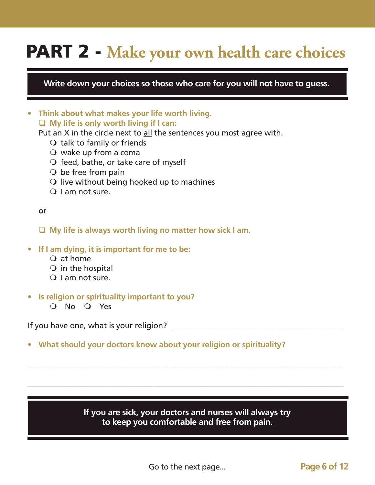### PART 2 - **Make your own health care choices**

**Write down your choices so those who care for you will not have to guess.**

**• Think about what makes your life worth living. My life is only worth living if I can:**

Put an X in the circle next to all the sentences you most agree with.

- $\bigcirc$  talk to family or friends
- $\overline{O}$  wake up from a coma
- $\bigcirc$  feed, bathe, or take care of myself
- $\bigcirc$  be free from pain
- $\Omega$  live without being hooked up to machines
- $\bigcirc$  I am not sure.

#### **or**

**My life is always worth living no matter how sick I am.**

- **• If I am dying, it is important for me to be:**
	- $Q$  at home
	- $\overline{O}$  in the hospital
	- $\bigcirc$  I am not sure.
- **• Is religion or spirituality important to you?**
	- O No O Yes

If you have one, what is your religion?

**• What should your doctors know about your religion or spirituality?**

#### **If you are sick, your doctors and nurses will always try to keep you comfortable and free from pain.**

\_\_\_\_\_\_\_\_\_\_\_\_\_\_\_\_\_\_\_\_\_\_\_\_\_\_\_\_\_\_\_\_\_\_\_\_\_\_\_\_\_\_\_\_\_\_\_\_\_\_\_\_\_\_\_\_\_\_\_\_\_\_\_\_\_\_\_\_\_\_\_\_\_\_\_\_\_\_\_\_\_

\_\_\_\_\_\_\_\_\_\_\_\_\_\_\_\_\_\_\_\_\_\_\_\_\_\_\_\_\_\_\_\_\_\_\_\_\_\_\_\_\_\_\_\_\_\_\_\_\_\_\_\_\_\_\_\_\_\_\_\_\_\_\_\_\_\_\_\_\_\_\_\_\_\_\_\_\_\_\_\_\_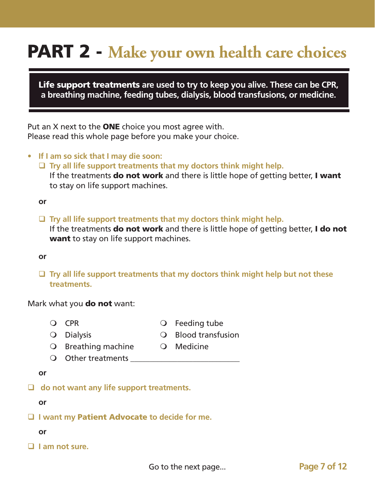## PART 2 - **Make your own health care choices**

Life support treatments **are used to try to keep you alive. These can be CPR, a breathing machine, feeding tubes, dialysis, blood transfusions, or medicine.**

Put an  $X$  next to the **ONE** choice you most agree with. Please read this whole page before you make your choice.

- **• If I am so sick that I may die soon:**
	- **Try all life support treatments that my doctors think might help.**

If the treatments **do not work** and there is little hope of getting better, I want to stay on life support machines.

**or**

**Try all life support treatments that my doctors think might help.**

If the treatments **do not work** and there is little hope of getting better, **I do not** want to stay on life support machines.

#### **or**

 **Try all life support treatments that my doctors think might help but not these treatments.**

#### Mark what you **do not** want:

- 
- O CPR Q Feeding tube
- 
- O Dialysis **CO Blood transfusion**
- $\bigcirc$  Breathing machine  $\bigcirc$  Medicine
	-
- $\bigcirc$  Other treatments

#### **or**

 **do not want any life support treatments.**

**or**

- **I want my** Patient Advocate **to decide for me.**
	- **or**
- **I am not sure.**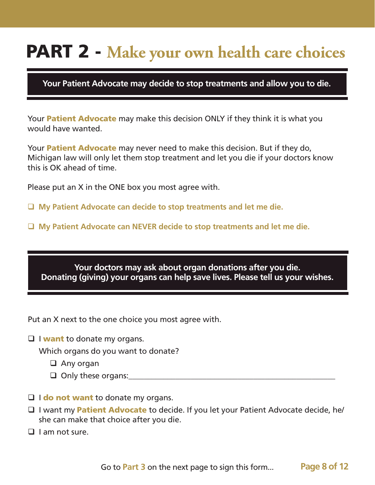### PART 2 - **Make your own health care choices**

**Your Patient Advocate may decide to stop treatments and allow you to die.**

Your **Patient Advocate** may make this decision ONLY if they think it is what you would have wanted.

Your **Patient Advocate** may never need to make this decision. But if they do, Michigan law will only let them stop treatment and let you die if your doctors know this is OK ahead of time.

Please put an X in the ONE box you most agree with.

**My Patient Advocate can decide to stop treatments and let me die.**

**My Patient Advocate can NEVER decide to stop treatments and let me die.**

**Your doctors may ask about organ donations after you die. Donating (giving) your organs can help save lives. Please tell us your wishes.**

Put an X next to the one choice you most agree with.

 $\Box$  I want to donate my organs.

Which organs do you want to donate?

- □ Any organ
- $\Box$  Only these organs:
- $\Box$  I do not want to donate my organs.
- $\Box$  I want my **Patient Advocate** to decide. If you let your Patient Advocate decide, he/ she can make that choice after you die.
- $\Box$  I am not sure.

Go to **Part 3** on the next page to sign this form... **Page 8 of 12**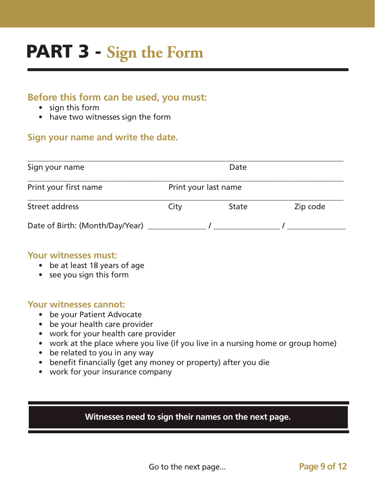# PART 3 - **Sign the Form**

#### **Before this form can be used, you must:**

- sign this form
- have two witnesses sign the form

#### **Sign your name and write the date.**

| Sign your name                  |                      | Date         |          |
|---------------------------------|----------------------|--------------|----------|
| Print your first name           | Print your last name |              |          |
| Street address                  | City                 | <b>State</b> | Zip code |
| Date of Birth: (Month/Day/Year) |                      |              |          |

#### **Your witnesses must:**

- be at least 18 years of age
- see you sign this form

#### **Your witnesses cannot:**

- be your Patient Advocate
- be your health care provider
- work for your health care provider
- work at the place where you live (if you live in a nursing home or group home)
- be related to you in any way
- benefit financially (get any money or property) after you die
- work for your insurance company

#### **Witnesses need to sign their names on the next page.**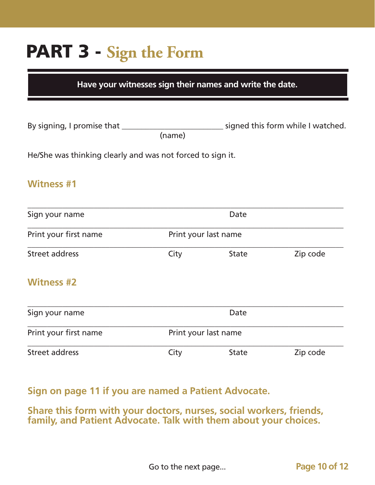# PART 3 - **Sign the Form**

**Have your witnesses sign their names and write the date.**

| By signing, I promise that |        | signed this form while I watched. |
|----------------------------|--------|-----------------------------------|
|                            | (name) |                                   |

He/She was thinking clearly and was not forced to sign it.

#### **Witness #1**

| Sign your name        | <b>Date</b>          |                      |          |
|-----------------------|----------------------|----------------------|----------|
| Print your first name |                      | Print your last name |          |
| Street address        | City                 | <b>State</b>         | Zip code |
| <b>Witness #2</b>     |                      |                      |          |
| Sign your name        |                      | Date                 |          |
| Print your first name | Print your last name |                      |          |
| <b>Street address</b> | City                 | <b>State</b>         | Zip code |

#### **Sign on page 11 if you are named a Patient Advocate.**

**Share this form with your doctors, nurses, social workers, friends, family, and Patient Advocate. Talk with them about your choices.**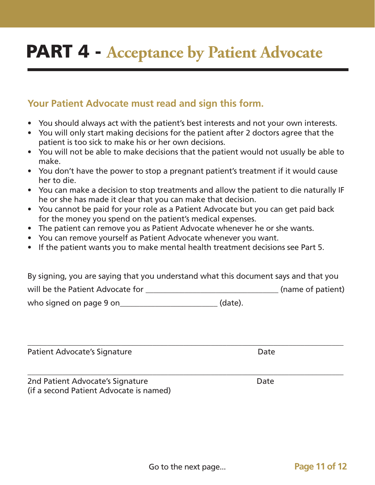### PART 4 - **Acceptance by Patient Advocate**

#### **Your Patient Advocate must read and sign this form.**

- You should always act with the patient's best interests and not your own interests.
- You will only start making decisions for the patient after 2 doctors agree that the patient is too sick to make his or her own decisions.
- You will not be able to make decisions that the patient would not usually be able to make.
- You don't have the power to stop a pregnant patient's treatment if it would cause her to die.
- You can make a decision to stop treatments and allow the patient to die naturally IF he or she has made it clear that you can make that decision.
- You cannot be paid for your role as a Patient Advocate but you can get paid back for the money you spend on the patient's medical expenses.
- The patient can remove you as Patient Advocate whenever he or she wants.
- You can remove yourself as Patient Advocate whenever you want.
- If the patient wants you to make mental health treatment decisions see Part 5.

By signing, you are saying that you understand what this document says and that you will be the Patient Advocate for **will be the Patient**) who signed on page 9 on\_\_\_\_\_\_\_\_\_\_\_\_\_\_\_\_\_\_\_\_\_\_\_\_\_\_\_\_\_(date).

\_\_\_\_\_\_\_\_\_\_\_\_\_\_\_\_\_\_\_\_\_\_\_\_\_\_\_\_\_\_\_\_\_\_\_\_\_\_\_\_\_\_\_\_\_\_\_\_\_\_\_\_\_\_\_\_\_\_\_\_\_\_\_\_\_\_\_\_\_\_\_\_\_\_\_\_\_\_\_\_\_

\_\_\_\_\_\_\_\_\_\_\_\_\_\_\_\_\_\_\_\_\_\_\_\_\_\_\_\_\_\_\_\_\_\_\_\_\_\_\_\_\_\_\_\_\_\_\_\_\_\_\_\_\_\_\_\_\_\_\_\_\_\_\_\_\_\_\_\_\_\_\_\_\_\_\_\_\_\_\_\_\_

Patient Advocate's Signature **Date** Date

2nd Patient Advocate's Signature **Date** Date (if a second Patient Advocate is named)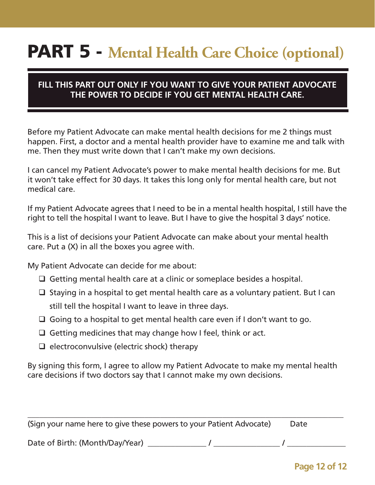### PART 5 - **Mental Health Care Choice (optional)**

#### **FILL THIS PART OUT ONLY IF YOU WANT TO GIVE YOUR PATIENT ADVOCATE THE POWER TO DECIDE IF YOU GET MENTAL HEALTH CARE.**

Before my Patient Advocate can make mental health decisions for me 2 things must happen. First, a doctor and a mental health provider have to examine me and talk with me. Then they must write down that I can't make my own decisions.

I can cancel my Patient Advocate's power to make mental health decisions for me. But it won't take effect for 30 days. It takes this long only for mental health care, but not medical care.

If my Patient Advocate agrees that I need to be in a mental health hospital, I still have the right to tell the hospital I want to leave. But I have to give the hospital 3 days' notice.

This is a list of decisions your Patient Advocate can make about your mental health care. Put a (X) in all the boxes you agree with.

My Patient Advocate can decide for me about:

- $\Box$  Getting mental health care at a clinic or someplace besides a hospital.
- $\Box$  Staying in a hospital to get mental health care as a voluntary patient. But I can still tell the hospital I want to leave in three days.
- $\Box$  Going to a hospital to get mental health care even if I don't want to go.
- $\Box$  Getting medicines that may change how I feel, think or act.
- $\Box$  electroconvulsive (electric shock) therapy

By signing this form, I agree to allow my Patient Advocate to make my mental health care decisions if two doctors say that I cannot make my own decisions.

| (Sign your name here to give these powers to your Patient Advocate) | Date |  |
|---------------------------------------------------------------------|------|--|
| Date of Birth: (Month/Day/Year)                                     |      |  |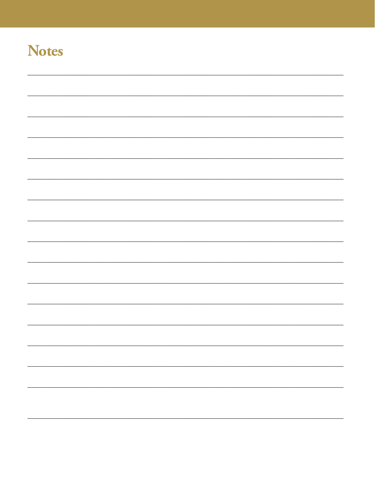### **Notes**